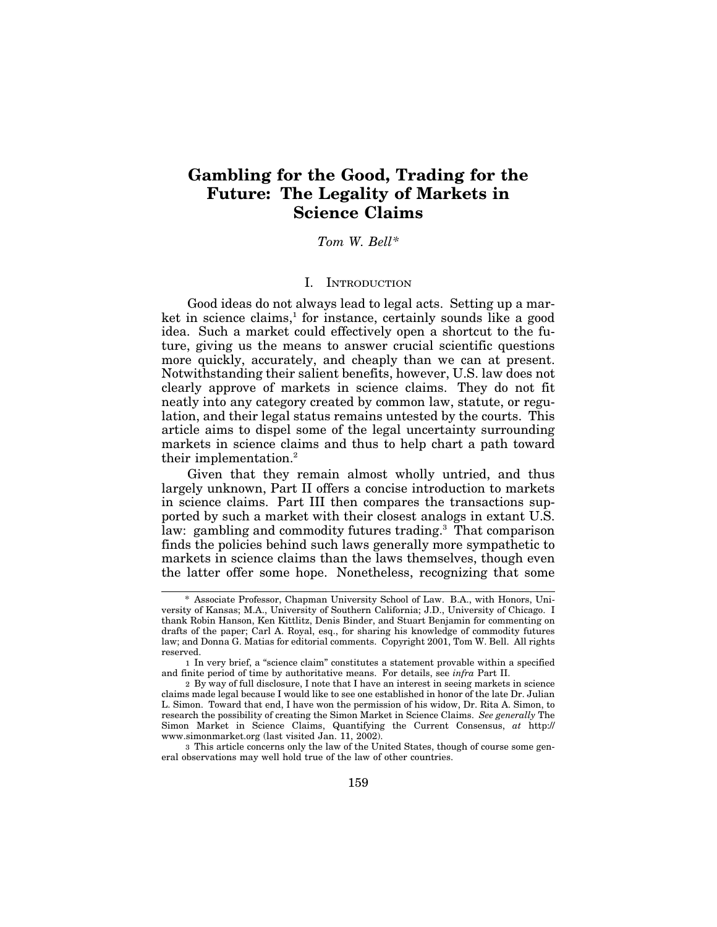# **Gambling for the Good, Trading for the Future: The Legality of Markets in Science Claims**

## *Tom W. Bell\**

### I. INTRODUCTION

Good ideas do not always lead to legal acts. Setting up a market in science claims, $<sup>1</sup>$  for instance, certainly sounds like a good</sup> idea. Such a market could effectively open a shortcut to the future, giving us the means to answer crucial scientific questions more quickly, accurately, and cheaply than we can at present. Notwithstanding their salient benefits, however, U.S. law does not clearly approve of markets in science claims. They do not fit neatly into any category created by common law, statute, or regulation, and their legal status remains untested by the courts. This article aims to dispel some of the legal uncertainty surrounding markets in science claims and thus to help chart a path toward their implementation.2

Given that they remain almost wholly untried, and thus largely unknown, Part II offers a concise introduction to markets in science claims. Part III then compares the transactions supported by such a market with their closest analogs in extant U.S. law: gambling and commodity futures trading.<sup>3</sup> That comparison finds the policies behind such laws generally more sympathetic to markets in science claims than the laws themselves, though even the latter offer some hope. Nonetheless, recognizing that some

3 This article concerns only the law of the United States, though of course some general observations may well hold true of the law of other countries.

<sup>\*</sup> Associate Professor, Chapman University School of Law. B.A., with Honors, University of Kansas; M.A., University of Southern California; J.D., University of Chicago. I thank Robin Hanson, Ken Kittlitz, Denis Binder, and Stuart Benjamin for commenting on drafts of the paper; Carl A. Royal, esq., for sharing his knowledge of commodity futures law; and Donna G. Matias for editorial comments. Copyright 2001, Tom W. Bell. All rights reserved.

<sup>1</sup> In very brief, a "science claim" constitutes a statement provable within a specified and finite period of time by authoritative means. For details, see *infra* Part II.

<sup>2</sup> By way of full disclosure, I note that I have an interest in seeing markets in science claims made legal because I would like to see one established in honor of the late Dr. Julian L. Simon. Toward that end, I have won the permission of his widow, Dr. Rita A. Simon, to research the possibility of creating the Simon Market in Science Claims. *See generally* The Simon Market in Science Claims, Quantifying the Current Consensus, *at* http:// www.simonmarket.org (last visited Jan. 11, 2002).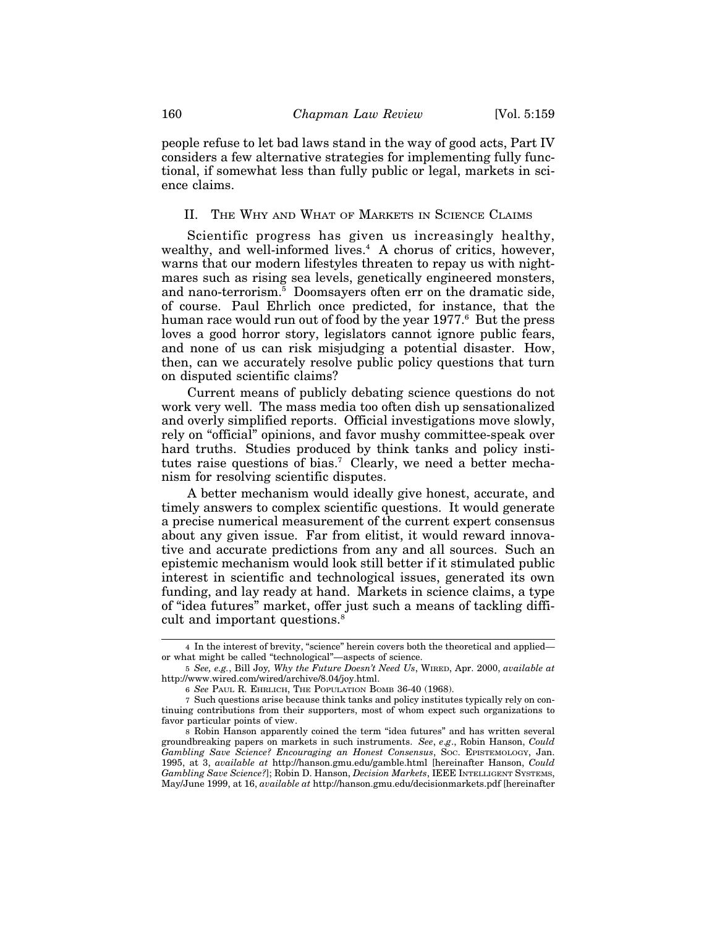people refuse to let bad laws stand in the way of good acts, Part IV considers a few alternative strategies for implementing fully functional, if somewhat less than fully public or legal, markets in science claims.

#### II. THE WHY AND WHAT OF MARKETS IN SCIENCE CLAIMS

Scientific progress has given us increasingly healthy, wealthy, and well-informed lives.<sup>4</sup> A chorus of critics, however, warns that our modern lifestyles threaten to repay us with nightmares such as rising sea levels, genetically engineered monsters, and nano-terrorism.5 Doomsayers often err on the dramatic side, of course. Paul Ehrlich once predicted, for instance, that the human race would run out of food by the year 1977.<sup>6</sup> But the press loves a good horror story, legislators cannot ignore public fears, and none of us can risk misjudging a potential disaster. How, then, can we accurately resolve public policy questions that turn on disputed scientific claims?

Current means of publicly debating science questions do not work very well. The mass media too often dish up sensationalized and overly simplified reports. Official investigations move slowly, rely on "official" opinions, and favor mushy committee-speak over hard truths. Studies produced by think tanks and policy institutes raise questions of bias.<sup>7</sup> Clearly, we need a better mechanism for resolving scientific disputes.

A better mechanism would ideally give honest, accurate, and timely answers to complex scientific questions. It would generate a precise numerical measurement of the current expert consensus about any given issue. Far from elitist, it would reward innovative and accurate predictions from any and all sources. Such an epistemic mechanism would look still better if it stimulated public interest in scientific and technological issues, generated its own funding, and lay ready at hand. Markets in science claims, a type of "idea futures" market, offer just such a means of tackling difficult and important questions.<sup>8</sup>

<sup>4</sup> In the interest of brevity, "science" herein covers both the theoretical and applied or what might be called "technological"—aspects of science.

<sup>5</sup> *See, e.g.*, Bill Joy*, Why the Future Doesn't Need Us*, WIRED, Apr. 2000, *available at* http://www.wired.com/wired/archive/8.04/joy.html.

<sup>6</sup> *See* PAUL R. EHRLICH, THE POPULATION BOMB 36-40 (1968).

<sup>7</sup> Such questions arise because think tanks and policy institutes typically rely on continuing contributions from their supporters, most of whom expect such organizations to favor particular points of view.

<sup>8</sup> Robin Hanson apparently coined the term "idea futures" and has written several groundbreaking papers on markets in such instruments. *See*, *e*.*g*., Robin Hanson, *Could Gambling Save Science? Encouraging an Honest Consensus*, SOC. EPISTEMOLOGY, Jan. 1995, at 3, *available at* http://hanson.gmu.edu/gamble.html [hereinafter Hanson, *Could Gambling Save Science?*]; Robin D. Hanson, *Decision Markets*, IEEE INTELLIGENT SYSTEMS, May/June 1999, at 16, *available at* http://hanson.gmu.edu/decisionmarkets.pdf [hereinafter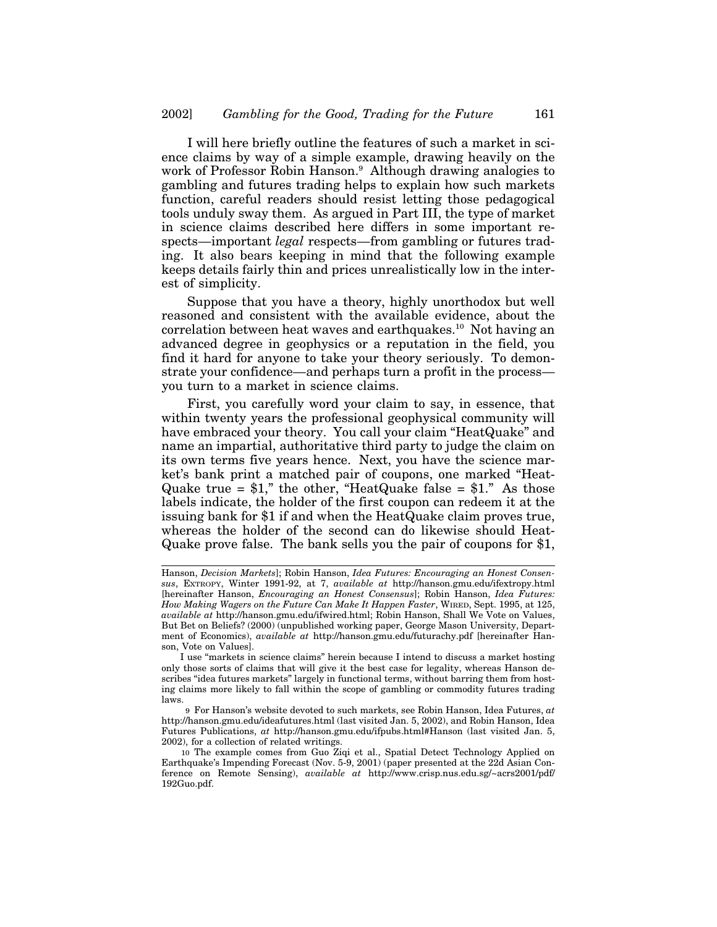I will here briefly outline the features of such a market in science claims by way of a simple example, drawing heavily on the work of Professor Robin Hanson.<sup>9</sup> Although drawing analogies to gambling and futures trading helps to explain how such markets function, careful readers should resist letting those pedagogical tools unduly sway them. As argued in Part III, the type of market in science claims described here differs in some important respects—important *legal* respects—from gambling or futures trading. It also bears keeping in mind that the following example keeps details fairly thin and prices unrealistically low in the interest of simplicity.

Suppose that you have a theory, highly unorthodox but well reasoned and consistent with the available evidence, about the correlation between heat waves and earthquakes.<sup>10</sup> Not having an advanced degree in geophysics or a reputation in the field, you find it hard for anyone to take your theory seriously. To demonstrate your confidence—and perhaps turn a profit in the process you turn to a market in science claims.

First, you carefully word your claim to say, in essence, that within twenty years the professional geophysical community will have embraced your theory. You call your claim "HeatQuake" and name an impartial, authoritative third party to judge the claim on its own terms five years hence. Next, you have the science market's bank print a matched pair of coupons, one marked "Heat-Quake true =  $$1$ ," the other, "HeatQuake false =  $$1$ ." As those labels indicate, the holder of the first coupon can redeem it at the issuing bank for \$1 if and when the HeatQuake claim proves true, whereas the holder of the second can do likewise should Heat-Quake prove false. The bank sells you the pair of coupons for \$1,

Hanson, *Decision Markets*]; Robin Hanson, *Idea Futures: Encouraging an Honest Consensus*, EXTROPY, Winter 1991-92, at 7, *available at* http://hanson.gmu.edu/ifextropy.html [hereinafter Hanson, *Encouraging an Honest Consensus*]; Robin Hanson, *Idea Futures: How Making Wagers on the Future Can Make It Happen Faster*, WIRED, Sept. 1995, at 125, *available at* http://hanson.gmu.edu/ifwired.html; Robin Hanson, Shall We Vote on Values, But Bet on Beliefs? (2000) (unpublished working paper, George Mason University, Department of Economics), *available at* http://hanson.gmu.edu/futurachy.pdf [hereinafter Hanson, Vote on Values].

I use "markets in science claims" herein because I intend to discuss a market hosting only those sorts of claims that will give it the best case for legality, whereas Hanson describes "idea futures markets" largely in functional terms, without barring them from hosting claims more likely to fall within the scope of gambling or commodity futures trading laws.

<sup>9</sup> For Hanson's website devoted to such markets, see Robin Hanson, Idea Futures, *at* http://hanson.gmu.edu/ideafutures.html (last visited Jan. 5, 2002), and Robin Hanson, Idea Futures Publications, *at* http://hanson.gmu.edu/ifpubs.html#Hanson (last visited Jan. 5, 2002), for a collection of related writings.

<sup>10</sup> The example comes from Guo Ziqi et al., Spatial Detect Technology Applied on Earthquake's Impending Forecast (Nov. 5-9, 2001) (paper presented at the 22d Asian Conference on Remote Sensing), *available at* http://www.crisp.nus.edu.sg/~acrs2001/pdf/ 192Guo.pdf.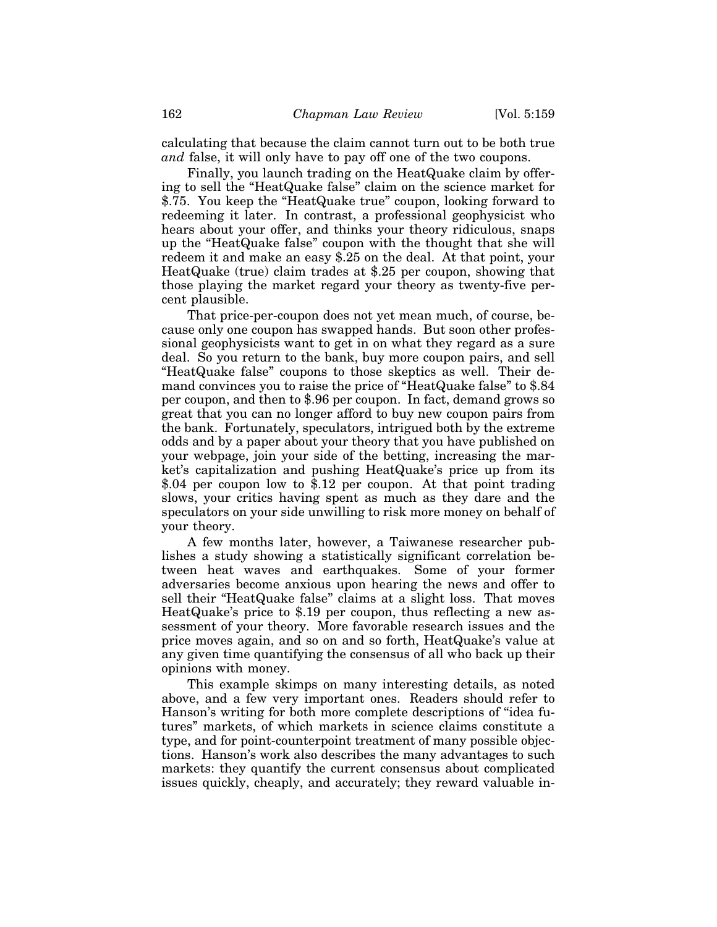calculating that because the claim cannot turn out to be both true *and* false, it will only have to pay off one of the two coupons.

Finally, you launch trading on the HeatQuake claim by offering to sell the "HeatQuake false" claim on the science market for \$.75. You keep the "HeatQuake true" coupon, looking forward to redeeming it later. In contrast, a professional geophysicist who hears about your offer, and thinks your theory ridiculous, snaps up the "HeatQuake false" coupon with the thought that she will redeem it and make an easy \$.25 on the deal. At that point, your HeatQuake (true) claim trades at \$.25 per coupon, showing that those playing the market regard your theory as twenty-five percent plausible.

That price-per-coupon does not yet mean much, of course, because only one coupon has swapped hands. But soon other professional geophysicists want to get in on what they regard as a sure deal. So you return to the bank, buy more coupon pairs, and sell "HeatQuake false" coupons to those skeptics as well. Their demand convinces you to raise the price of "HeatQuake false" to \$.84 per coupon, and then to \$.96 per coupon. In fact, demand grows so great that you can no longer afford to buy new coupon pairs from the bank. Fortunately, speculators, intrigued both by the extreme odds and by a paper about your theory that you have published on your webpage, join your side of the betting, increasing the market's capitalization and pushing HeatQuake's price up from its \$.04 per coupon low to  $\overline{\$}$ .12 per coupon. At that point trading slows, your critics having spent as much as they dare and the speculators on your side unwilling to risk more money on behalf of your theory.

A few months later, however, a Taiwanese researcher publishes a study showing a statistically significant correlation between heat waves and earthquakes. Some of your former adversaries become anxious upon hearing the news and offer to sell their "HeatQuake false" claims at a slight loss. That moves HeatQuake's price to \$.19 per coupon, thus reflecting a new assessment of your theory. More favorable research issues and the price moves again, and so on and so forth, HeatQuake's value at any given time quantifying the consensus of all who back up their opinions with money.

This example skimps on many interesting details, as noted above, and a few very important ones. Readers should refer to Hanson's writing for both more complete descriptions of "idea futures" markets, of which markets in science claims constitute a type, and for point-counterpoint treatment of many possible objections. Hanson's work also describes the many advantages to such markets: they quantify the current consensus about complicated issues quickly, cheaply, and accurately; they reward valuable in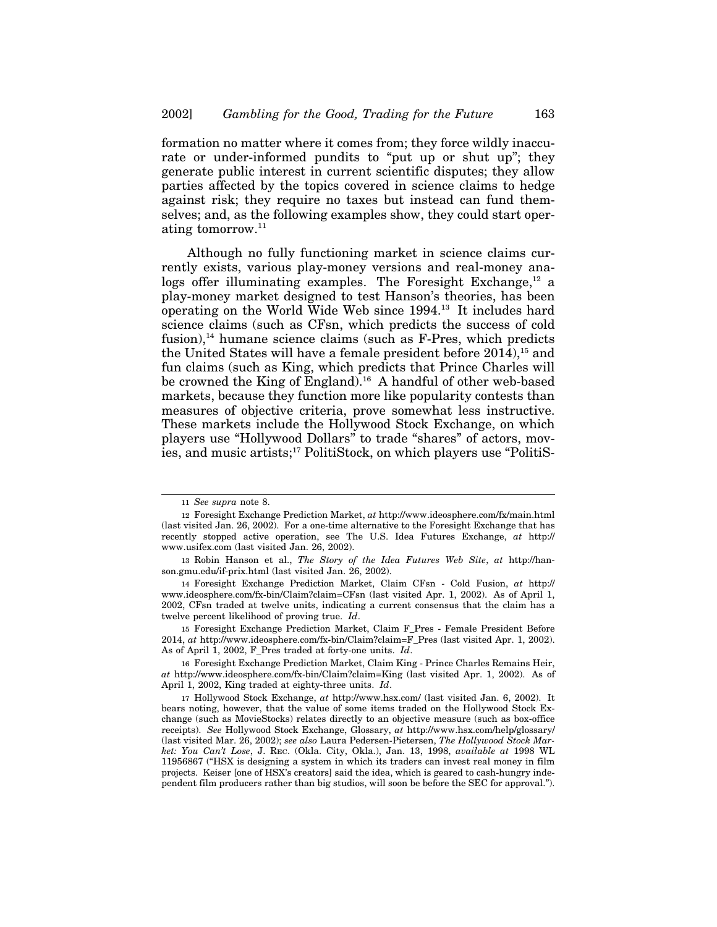formation no matter where it comes from; they force wildly inaccurate or under-informed pundits to "put up or shut up"; they generate public interest in current scientific disputes; they allow parties affected by the topics covered in science claims to hedge against risk; they require no taxes but instead can fund themselves; and, as the following examples show, they could start operating tomorrow.11

Although no fully functioning market in science claims currently exists, various play-money versions and real-money analogs offer illuminating examples. The Foresight Exchange, $^{12}$  a play-money market designed to test Hanson's theories, has been operating on the World Wide Web since 1994.13 It includes hard science claims (such as CFsn, which predicts the success of cold fusion), $^{14}$  humane science claims (such as F-Pres, which predicts the United States will have a female president before  $2014$ ,<sup>15</sup> and fun claims (such as King, which predicts that Prince Charles will be crowned the King of England).<sup>16</sup> A handful of other web-based markets, because they function more like popularity contests than measures of objective criteria, prove somewhat less instructive. These markets include the Hollywood Stock Exchange, on which players use "Hollywood Dollars" to trade "shares" of actors, movies, and music artists;17 PolitiStock, on which players use "PolitiS-

15 Foresight Exchange Prediction Market, Claim F\_Pres - Female President Before 2014, *at* http://www.ideosphere.com/fx-bin/Claim?claim=F\_Pres (last visited Apr. 1, 2002). As of April 1, 2002, F\_Pres traded at forty-one units. *Id*.

<sup>11</sup> *See supra* note 8.

<sup>12</sup> Foresight Exchange Prediction Market, *at* http://www.ideosphere.com/fx/main.html (last visited Jan. 26, 2002). For a one-time alternative to the Foresight Exchange that has recently stopped active operation, see The U.S. Idea Futures Exchange, *at* http:// www.usifex.com (last visited Jan. 26, 2002).

<sup>13</sup> Robin Hanson et al., *The Story of the Idea Futures Web Site*, *at* http://hanson.gmu.edu/if-prix.html (last visited Jan. 26, 2002).

<sup>14</sup> Foresight Exchange Prediction Market, Claim CFsn - Cold Fusion, *at* http:// www.ideosphere.com/fx-bin/Claim?claim=CFsn (last visited Apr. 1, 2002). As of April 1, 2002, CFsn traded at twelve units, indicating a current consensus that the claim has a twelve percent likelihood of proving true. *Id*.

<sup>16</sup> Foresight Exchange Prediction Market, Claim King - Prince Charles Remains Heir, *at* http://www.ideosphere.com/fx-bin/Claim?claim=King (last visited Apr. 1, 2002). As of April 1, 2002, King traded at eighty-three units. *Id*.

<sup>17</sup> Hollywood Stock Exchange, *at* http://www.hsx.com/ (last visited Jan. 6, 2002). It bears noting, however, that the value of some items traded on the Hollywood Stock Exchange (such as MovieStocks) relates directly to an objective measure (such as box-office receipts). *See* Hollywood Stock Exchange, Glossary, *at* http://www.hsx.com/help/glossary/ (last visited Mar. 26, 2002); *see also* Laura Pedersen-Pietersen, *The Hollywood Stock Market: You Can't Lose*, J. REC. (Okla. City, Okla.), Jan. 13, 1998, *available at* 1998 WL 11956867 ("HSX is designing a system in which its traders can invest real money in film projects. Keiser [one of HSX's creators] said the idea, which is geared to cash-hungry independent film producers rather than big studios, will soon be before the SEC for approval.").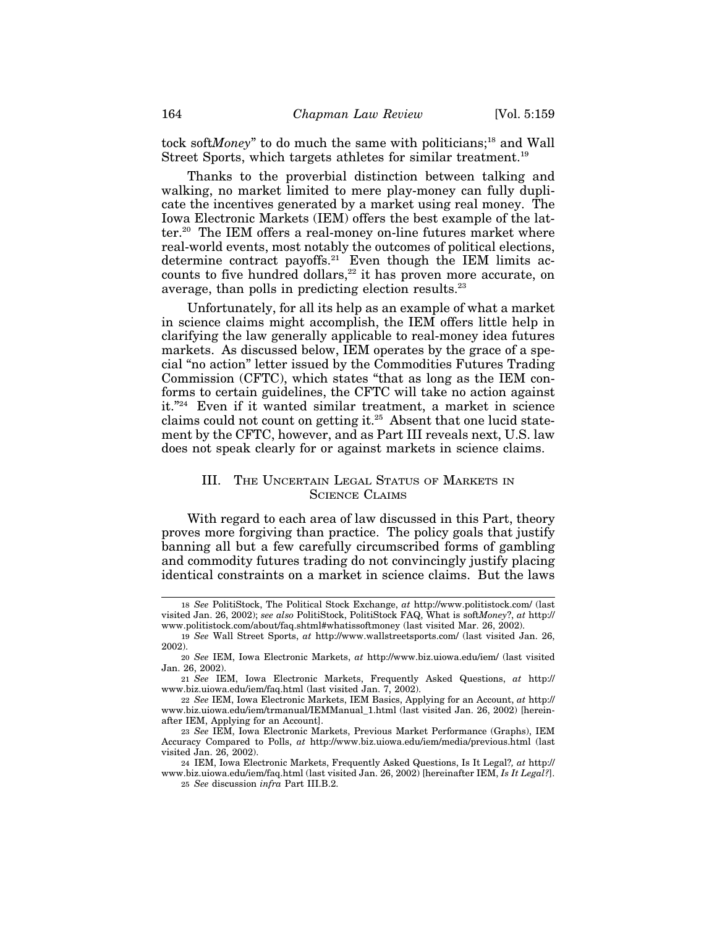tock soft*Money*" to do much the same with politicians;<sup>18</sup> and Wall Street Sports, which targets athletes for similar treatment.<sup>19</sup>

Thanks to the proverbial distinction between talking and walking, no market limited to mere play-money can fully duplicate the incentives generated by a market using real money. The Iowa Electronic Markets (IEM) offers the best example of the latter.<sup>20</sup> The IEM offers a real-money on-line futures market where real-world events, most notably the outcomes of political elections, determine contract payoffs.<sup>21</sup> Even though the IEM limits accounts to five hundred dollars, $22$  it has proven more accurate, on average, than polls in predicting election results.<sup>23</sup>

Unfortunately, for all its help as an example of what a market in science claims might accomplish, the IEM offers little help in clarifying the law generally applicable to real-money idea futures markets. As discussed below, IEM operates by the grace of a special "no action" letter issued by the Commodities Futures Trading Commission (CFTC), which states "that as long as the IEM conforms to certain guidelines, the CFTC will take no action against it."24 Even if it wanted similar treatment, a market in science claims could not count on getting it.25 Absent that one lucid statement by the CFTC, however, and as Part III reveals next, U.S. law does not speak clearly for or against markets in science claims.

## III. THE UNCERTAIN LEGAL STATUS OF MARKETS IN SCIENCE CLAIMS

With regard to each area of law discussed in this Part, theory proves more forgiving than practice. The policy goals that justify banning all but a few carefully circumscribed forms of gambling and commodity futures trading do not convincingly justify placing identical constraints on a market in science claims. But the laws

<sup>18</sup> *See* PolitiStock, The Political Stock Exchange, *at* http://www.politistock.com/ (last visited Jan. 26, 2002); *see also* PolitiStock, PolitiStock FAQ, What is soft*Money*?, *at* http:// www.politistock.com/about/faq.shtml#whatissoftmoney (last visited Mar. 26, 2002).

<sup>19</sup> *See* Wall Street Sports, *at* http://www.wallstreetsports.com/ (last visited Jan. 26, 2002).

<sup>20</sup> *See* IEM, Iowa Electronic Markets, *at* http://www.biz.uiowa.edu/iem/ (last visited Jan. 26, 2002).

<sup>21</sup> *See* IEM, Iowa Electronic Markets, Frequently Asked Questions, *at* http:// www.biz.uiowa.edu/iem/faq.html (last visited Jan. 7, 2002).

<sup>22</sup> *See* IEM, Iowa Electronic Markets, IEM Basics, Applying for an Account, *at* http:// www.biz.uiowa.edu/iem/trmanual/IEMManual\_1.html (last visited Jan. 26, 2002) [hereinafter IEM, Applying for an Account].

<sup>23</sup> *See* IEM, Iowa Electronic Markets, Previous Market Performance (Graphs), IEM Accuracy Compared to Polls, *at* http://www.biz.uiowa.edu/iem/media/previous.html (last visited Jan. 26, 2002).

<sup>24</sup> IEM, Iowa Electronic Markets, Frequently Asked Questions, Is It Legal?*, at* http:// www.biz.uiowa.edu/iem/faq.html (last visited Jan. 26, 2002) [hereinafter IEM, *Is It Legal?*]. 25 *See* discussion *infra* Part III.B.2.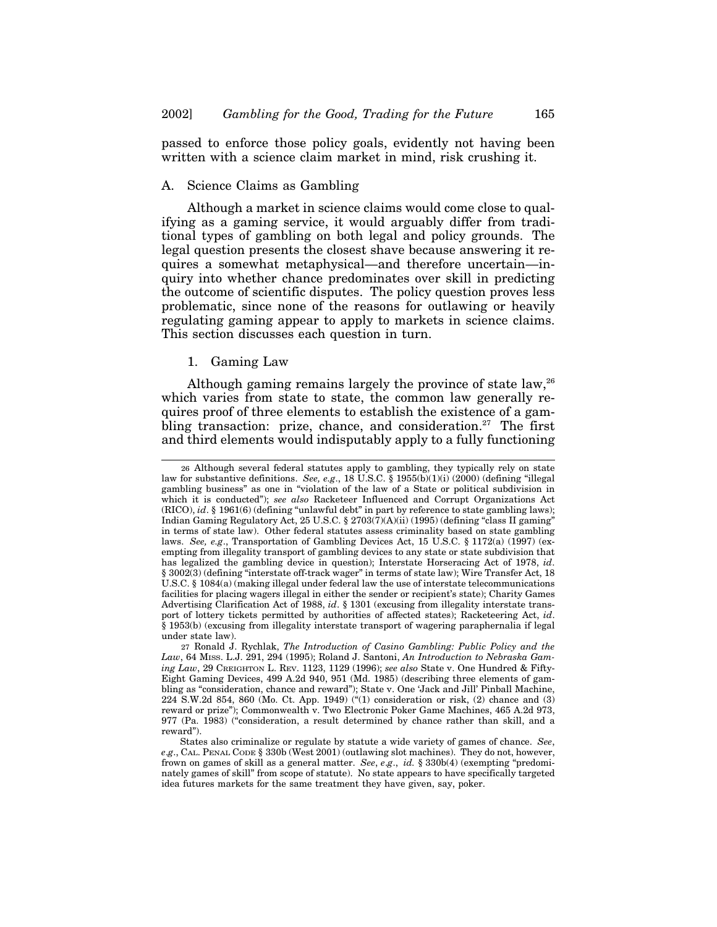passed to enforce those policy goals, evidently not having been written with a science claim market in mind, risk crushing it.

# A. Science Claims as Gambling

Although a market in science claims would come close to qualifying as a gaming service, it would arguably differ from traditional types of gambling on both legal and policy grounds. The legal question presents the closest shave because answering it requires a somewhat metaphysical—and therefore uncertain—inquiry into whether chance predominates over skill in predicting the outcome of scientific disputes. The policy question proves less problematic, since none of the reasons for outlawing or heavily regulating gaming appear to apply to markets in science claims. This section discusses each question in turn.

#### 1. Gaming Law

Although gaming remains largely the province of state law,<sup>26</sup> which varies from state to state, the common law generally requires proof of three elements to establish the existence of a gambling transaction: prize, chance, and consideration.<sup>27</sup> The first and third elements would indisputably apply to a fully functioning

<sup>26</sup> Although several federal statutes apply to gambling, they typically rely on state law for substantive definitions. *See, e.g*., 18 U.S.C. § 1955(b)(1)(i) (2000) (defining "illegal gambling business" as one in "violation of the law of a State or political subdivision in which it is conducted"); *see also* Racketeer Influenced and Corrupt Organizations Act (RICO), *id*. § 1961(6) (defining "unlawful debt" in part by reference to state gambling laws); Indian Gaming Regulatory Act, 25 U.S.C. § 2703(7)(A)(ii) (1995) (defining "class II gaming" in terms of state law). Other federal statutes assess criminality based on state gambling laws. *See, e.g*., Transportation of Gambling Devices Act, 15 U.S.C. § 1172(a) (1997) (exempting from illegality transport of gambling devices to any state or state subdivision that has legalized the gambling device in question); Interstate Horseracing Act of 1978, *id*. § 3002(3) (defining "interstate off-track wager" in terms of state law); Wire Transfer Act, 18 U.S.C. § 1084(a) (making illegal under federal law the use of interstate telecommunications facilities for placing wagers illegal in either the sender or recipient's state); Charity Games Advertising Clarification Act of 1988, *id*. § 1301 (excusing from illegality interstate transport of lottery tickets permitted by authorities of affected states); Racketeering Act, *id*. § 1953(b) (excusing from illegality interstate transport of wagering paraphernalia if legal under state law).

<sup>27</sup> Ronald J. Rychlak, *The Introduction of Casino Gambling: Public Policy and the Law*, 64 MISS. L.J. 291, 294 (1995); Roland J. Santoni, *An Introduction to Nebraska Gaming Law*, 29 CREIGHTON L. REV. 1123, 1129 (1996); *see also* State v. One Hundred & Fifty-Eight Gaming Devices, 499 A.2d 940, 951 (Md. 1985) (describing three elements of gambling as "consideration, chance and reward"); State v. One 'Jack and Jill' Pinball Machine, 224 S.W.2d 854, 860 (Mo. Ct. App. 1949) ("(1) consideration or risk, (2) chance and (3) reward or prize"); Commonwealth v. Two Electronic Poker Game Machines, 465 A.2d 973, 977 (Pa. 1983) ("consideration, a result determined by chance rather than skill, and a reward").

States also criminalize or regulate by statute a wide variety of games of chance. *See*, *e*.*g*., CAL. PENAL CODE § 330b (West 2001) (outlawing slot machines). They do not, however, frown on games of skill as a general matter. *See*, *e*.*g*., *id.* § 330b(4) (exempting "predominately games of skill" from scope of statute). No state appears to have specifically targeted idea futures markets for the same treatment they have given, say, poker.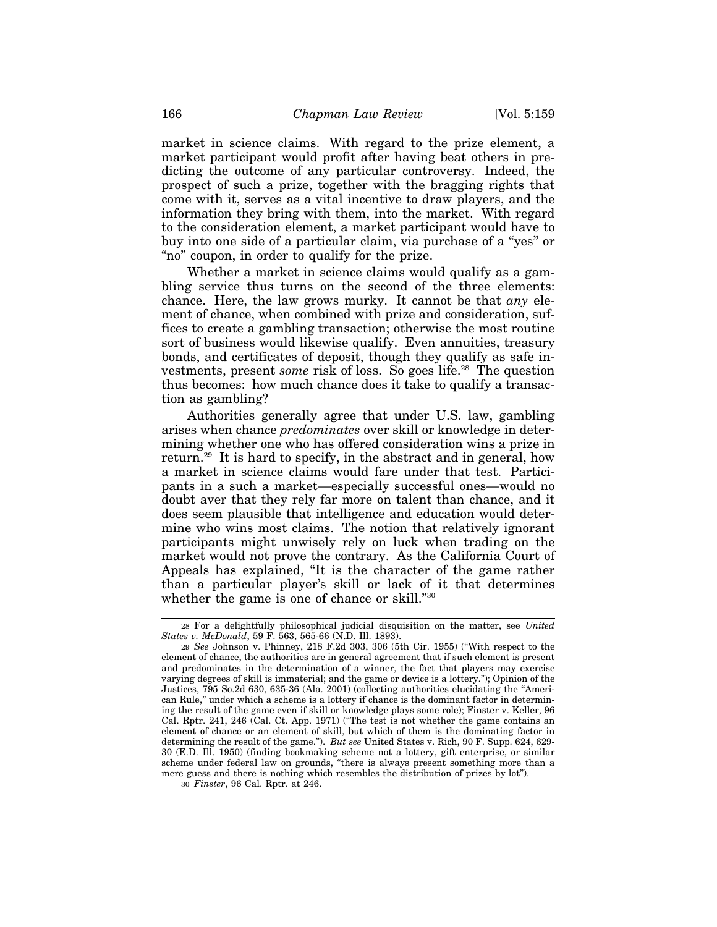market in science claims. With regard to the prize element, a market participant would profit after having beat others in predicting the outcome of any particular controversy. Indeed, the prospect of such a prize, together with the bragging rights that come with it, serves as a vital incentive to draw players, and the information they bring with them, into the market. With regard to the consideration element, a market participant would have to buy into one side of a particular claim, via purchase of a "yes" or "no" coupon, in order to qualify for the prize.

Whether a market in science claims would qualify as a gambling service thus turns on the second of the three elements: chance. Here, the law grows murky. It cannot be that *any* element of chance, when combined with prize and consideration, suffices to create a gambling transaction; otherwise the most routine sort of business would likewise qualify. Even annuities, treasury bonds, and certificates of deposit, though they qualify as safe investments, present *some* risk of loss. So goes life.<sup>28</sup> The question thus becomes: how much chance does it take to qualify a transaction as gambling?

Authorities generally agree that under U.S. law, gambling arises when chance *predominates* over skill or knowledge in determining whether one who has offered consideration wins a prize in return.29 It is hard to specify, in the abstract and in general, how a market in science claims would fare under that test. Participants in a such a market—especially successful ones—would no doubt aver that they rely far more on talent than chance, and it does seem plausible that intelligence and education would determine who wins most claims. The notion that relatively ignorant participants might unwisely rely on luck when trading on the market would not prove the contrary. As the California Court of Appeals has explained, "It is the character of the game rather than a particular player's skill or lack of it that determines whether the game is one of chance or skill."30

30 *Finster*, 96 Cal. Rptr. at 246.

<sup>28</sup> For a delightfully philosophical judicial disquisition on the matter, see *United States v. McDonald*, 59 F. 563, 565-66 (N.D. Ill. 1893).

<sup>29</sup> *See* Johnson v. Phinney, 218 F.2d 303, 306 (5th Cir. 1955) ("With respect to the element of chance, the authorities are in general agreement that if such element is present and predominates in the determination of a winner, the fact that players may exercise varying degrees of skill is immaterial; and the game or device is a lottery."); Opinion of the Justices, 795 So.2d 630, 635-36 (Ala. 2001) (collecting authorities elucidating the "American Rule," under which a scheme is a lottery if chance is the dominant factor in determining the result of the game even if skill or knowledge plays some role); Finster v. Keller, 96 Cal. Rptr. 241, 246 (Cal. Ct. App. 1971) ("The test is not whether the game contains an element of chance or an element of skill, but which of them is the dominating factor in determining the result of the game."). *But see* United States v. Rich, 90 F. Supp. 624, 629- 30 (E.D. Ill. 1950) (finding bookmaking scheme not a lottery, gift enterprise, or similar scheme under federal law on grounds, "there is always present something more than a mere guess and there is nothing which resembles the distribution of prizes by lot").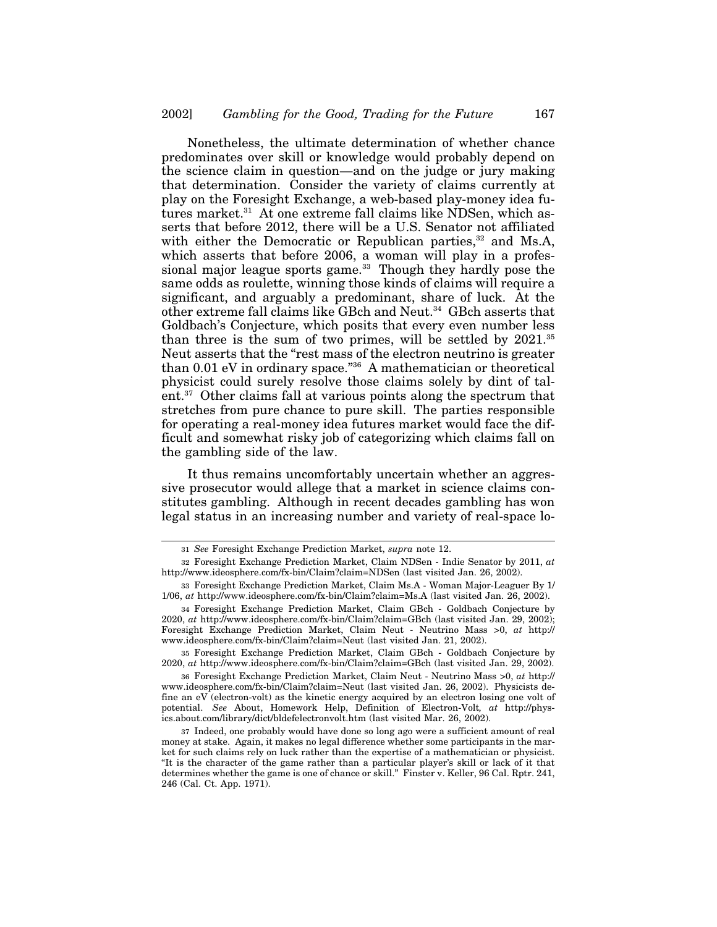Nonetheless, the ultimate determination of whether chance predominates over skill or knowledge would probably depend on the science claim in question—and on the judge or jury making that determination. Consider the variety of claims currently at play on the Foresight Exchange, a web-based play-money idea futures market.<sup>31</sup> At one extreme fall claims like NDSen, which asserts that before 2012, there will be a U.S. Senator not affiliated with either the Democratic or Republican parties,<sup>32</sup> and Ms.A, which asserts that before 2006, a woman will play in a professional major league sports game.<sup>33</sup> Though they hardly pose the same odds as roulette, winning those kinds of claims will require a significant, and arguably a predominant, share of luck. At the other extreme fall claims like GBch and Neut.34 GBch asserts that Goldbach's Conjecture, which posits that every even number less than three is the sum of two primes, will be settled by  $2021$ .<sup>35</sup> Neut asserts that the "rest mass of the electron neutrino is greater than 0.01 eV in ordinary space."36 A mathematician or theoretical physicist could surely resolve those claims solely by dint of talent.37 Other claims fall at various points along the spectrum that stretches from pure chance to pure skill. The parties responsible for operating a real-money idea futures market would face the difficult and somewhat risky job of categorizing which claims fall on the gambling side of the law.

It thus remains uncomfortably uncertain whether an aggressive prosecutor would allege that a market in science claims constitutes gambling. Although in recent decades gambling has won legal status in an increasing number and variety of real-space lo-

35 Foresight Exchange Prediction Market, Claim GBch - Goldbach Conjecture by 2020, *at* http://www.ideosphere.com/fx-bin/Claim?claim=GBch (last visited Jan. 29, 2002).

36 Foresight Exchange Prediction Market, Claim Neut - Neutrino Mass >0, *at* http:// www.ideosphere.com/fx-bin/Claim?claim=Neut (last visited Jan. 26, 2002). Physicists define an eV (electron-volt) as the kinetic energy acquired by an electron losing one volt of potential. *See* About, Homework Help, Definition of Electron-Volt*, at* http://physics.about.com/library/dict/bldefelectronvolt.htm (last visited Mar. 26, 2002).

37 Indeed, one probably would have done so long ago were a sufficient amount of real money at stake. Again, it makes no legal difference whether some participants in the market for such claims rely on luck rather than the expertise of a mathematician or physicist. "It is the character of the game rather than a particular player's skill or lack of it that determines whether the game is one of chance or skill." Finster v. Keller, 96 Cal. Rptr. 241, 246 (Cal. Ct. App. 1971).

<sup>31</sup> *See* Foresight Exchange Prediction Market, *supra* note 12.

<sup>32</sup> Foresight Exchange Prediction Market, Claim NDSen - Indie Senator by 2011, *at* http://www.ideosphere.com/fx-bin/Claim?claim=NDSen (last visited Jan. 26, 2002).

<sup>33</sup> Foresight Exchange Prediction Market, Claim Ms.A - Woman Major-Leaguer By 1/ 1/06, *at* http://www.ideosphere.com/fx-bin/Claim?claim=Ms.A (last visited Jan. 26, 2002).

<sup>34</sup> Foresight Exchange Prediction Market, Claim GBch - Goldbach Conjecture by 2020, *at* http://www.ideosphere.com/fx-bin/Claim?claim=GBch (last visited Jan. 29, 2002); Foresight Exchange Prediction Market, Claim Neut - Neutrino Mass >0, *at* http:// www.ideosphere.com/fx-bin/Claim?claim=Neut (last visited Jan. 21, 2002).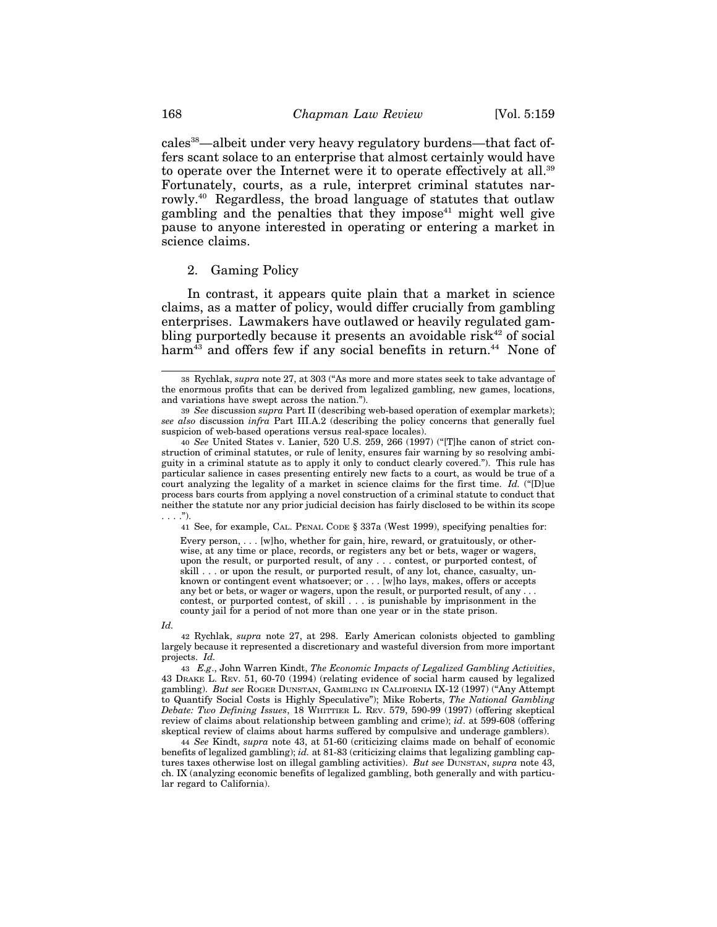cales38—albeit under very heavy regulatory burdens—that fact offers scant solace to an enterprise that almost certainly would have to operate over the Internet were it to operate effectively at all.<sup>39</sup> Fortunately, courts, as a rule, interpret criminal statutes narrowly.40 Regardless, the broad language of statutes that outlaw gambling and the penalties that they impose<sup>41</sup> might well give pause to anyone interested in operating or entering a market in science claims.

#### 2. Gaming Policy

In contrast, it appears quite plain that a market in science claims, as a matter of policy, would differ crucially from gambling enterprises. Lawmakers have outlawed or heavily regulated gambling purportedly because it presents an avoidable risk<sup>42</sup> of social harm<sup>43</sup> and offers few if any social benefits in return.<sup>44</sup> None of

41 See, for example, CAL. PENAL CODE § 337a (West 1999), specifying penalties for:

Every person, . . . [w]ho, whether for gain, hire, reward, or gratuitously, or otherwise, at any time or place, records, or registers any bet or bets, wager or wagers, upon the result, or purported result, of any . . . contest, or purported contest, of skill . . . or upon the result, or purported result, of any lot, chance, casualty, unknown or contingent event whatsoever; or . . . [w]ho lays, makes, offers or accepts any bet or bets, or wager or wagers, upon the result, or purported result, of any . contest, or purported contest, of skill . . . is punishable by imprisonment in the county jail for a period of not more than one year or in the state prison.

*Id.*

42 Rychlak, *supra* note 27, at 298. Early American colonists objected to gambling largely because it represented a discretionary and wasteful diversion from more important projects. *Id.*

43 *E.g*., John Warren Kindt, *The Economic Impacts of Legalized Gambling Activities*, 43 DRAKE L. REV. 51, 60-70 (1994) (relating evidence of social harm caused by legalized gambling). *But see* ROGER DUNSTAN, GAMBLING IN CALIFORNIA IX-12 (1997) ("Any Attempt to Quantify Social Costs is Highly Speculative"); Mike Roberts, *The National Gambling Debate: Two Defining Issues*, 18 WHITTIER L. REV. 579, 590-99 (1997) (offering skeptical review of claims about relationship between gambling and crime); *id*. at 599-608 (offering skeptical review of claims about harms suffered by compulsive and underage gamblers).

44 *See* Kindt, *supra* note 43, at 51-60 (criticizing claims made on behalf of economic benefits of legalized gambling); *id.* at 81-83 (criticizing claims that legalizing gambling captures taxes otherwise lost on illegal gambling activities). *But see* DUNSTAN, *supra* note 43, ch. IX (analyzing economic benefits of legalized gambling, both generally and with particular regard to California).

<sup>38</sup> Rychlak, *supra* note 27, at 303 ("As more and more states seek to take advantage of the enormous profits that can be derived from legalized gambling, new games, locations, and variations have swept across the nation.").

<sup>39</sup> *See* discussion *supra* Part II (describing web-based operation of exemplar markets); *see also* discussion *infra* Part III.A.2 (describing the policy concerns that generally fuel suspicion of web-based operations versus real-space locales).

<sup>40</sup> *See* United States v. Lanier, 520 U.S. 259, 266 (1997) ("[T]he canon of strict construction of criminal statutes, or rule of lenity, ensures fair warning by so resolving ambiguity in a criminal statute as to apply it only to conduct clearly covered."). This rule has particular salience in cases presenting entirely new facts to a court, as would be true of a court analyzing the legality of a market in science claims for the first time. *Id.* ("[D]ue process bars courts from applying a novel construction of a criminal statute to conduct that neither the statute nor any prior judicial decision has fairly disclosed to be within its scope . . . .").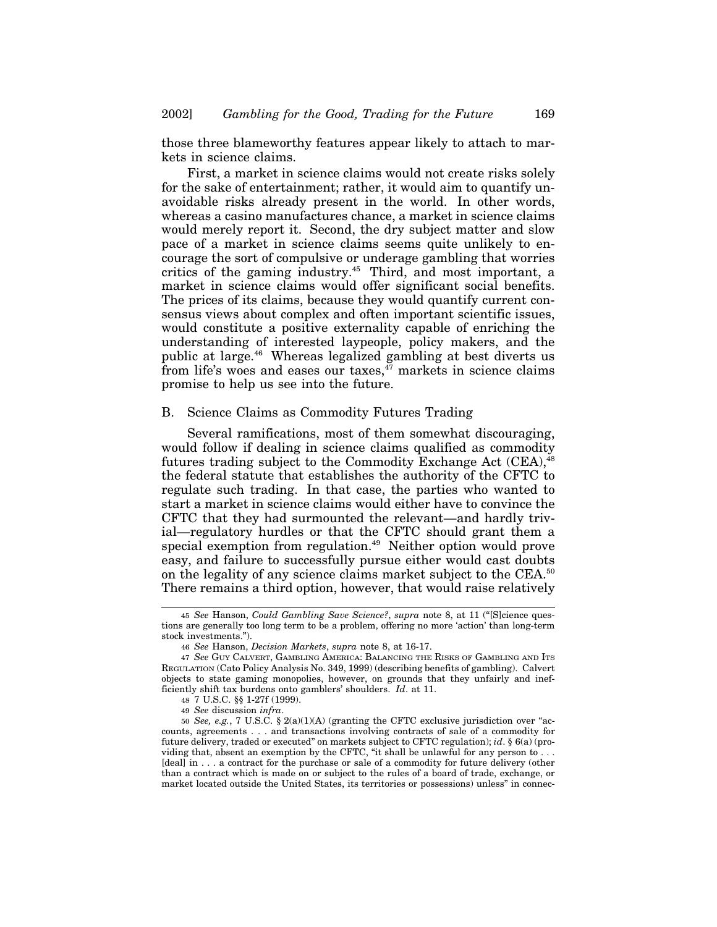those three blameworthy features appear likely to attach to markets in science claims.

First, a market in science claims would not create risks solely for the sake of entertainment; rather, it would aim to quantify unavoidable risks already present in the world. In other words, whereas a casino manufactures chance, a market in science claims would merely report it. Second, the dry subject matter and slow pace of a market in science claims seems quite unlikely to encourage the sort of compulsive or underage gambling that worries critics of the gaming industry.<sup>45</sup> Third, and most important, a market in science claims would offer significant social benefits. The prices of its claims, because they would quantify current consensus views about complex and often important scientific issues, would constitute a positive externality capable of enriching the understanding of interested laypeople, policy makers, and the public at large.46 Whereas legalized gambling at best diverts us from life's woes and eases our taxes, $\frac{47}{17}$  markets in science claims promise to help us see into the future.

#### B. Science Claims as Commodity Futures Trading

Several ramifications, most of them somewhat discouraging, would follow if dealing in science claims qualified as commodity futures trading subject to the Commodity Exchange Act (CEA), <sup>48</sup> the federal statute that establishes the authority of the CFTC to regulate such trading. In that case, the parties who wanted to start a market in science claims would either have to convince the CFTC that they had surmounted the relevant—and hardly trivial—regulatory hurdles or that the CFTC should grant them a special exemption from regulation.<sup>49</sup> Neither option would prove easy, and failure to successfully pursue either would cast doubts on the legality of any science claims market subject to the CEA.50 There remains a third option, however, that would raise relatively

<sup>45</sup> *See* Hanson, *Could Gambling Save Science?*, *supra* note 8, at 11 ("[S]cience questions are generally too long term to be a problem, offering no more 'action' than long-term stock investments.").

<sup>46</sup> *See* Hanson, *Decision Markets*, *supra* note 8, at 16-17.

<sup>47</sup> *See* GUY CALVERT, GAMBLING AMERICA: BALANCING THE RISKS OF GAMBLING AND ITS REGULATION (Cato Policy Analysis No. 349, 1999) (describing benefits of gambling). Calvert objects to state gaming monopolies, however, on grounds that they unfairly and inefficiently shift tax burdens onto gamblers' shoulders. *Id*. at 11.

<sup>48</sup> 7 U.S.C. §§ 1-27f (1999).

<sup>49</sup> *See* discussion *infra*.

<sup>50</sup> *See, e.g.*, 7 U.S.C. § 2(a)(1)(A) (granting the CFTC exclusive jurisdiction over "accounts, agreements . . . and transactions involving contracts of sale of a commodity for future delivery, traded or executed" on markets subject to CFTC regulation); *id*. § 6(a) (providing that, absent an exemption by the CFTC, "it shall be unlawful for any person to . . . [deal] in . . . a contract for the purchase or sale of a commodity for future delivery (other than a contract which is made on or subject to the rules of a board of trade, exchange, or market located outside the United States, its territories or possessions) unless" in connec-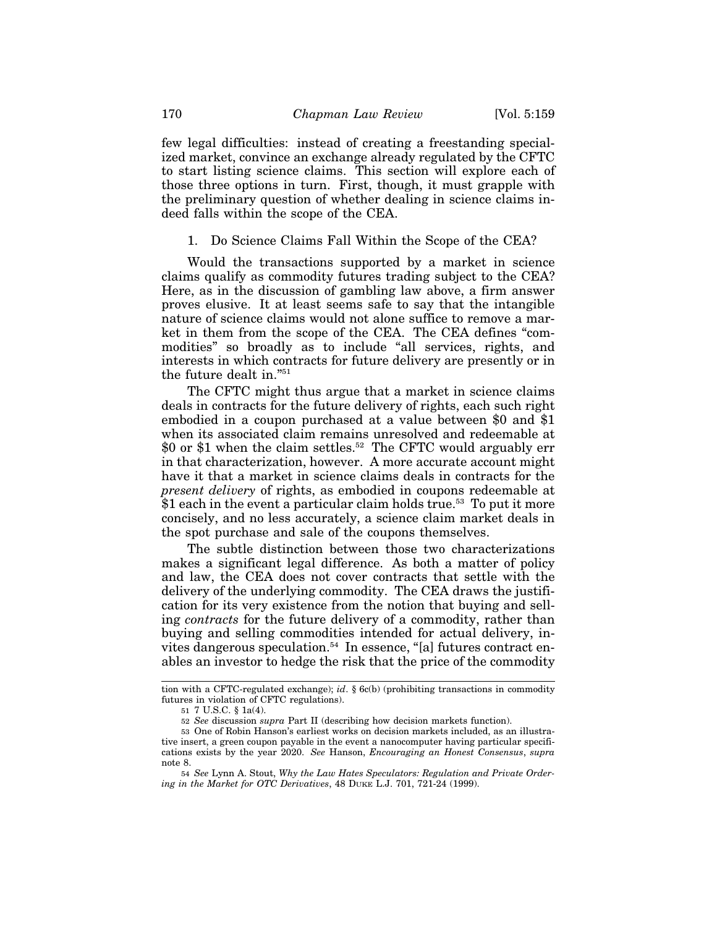few legal difficulties: instead of creating a freestanding specialized market, convince an exchange already regulated by the CFTC to start listing science claims. This section will explore each of those three options in turn. First, though, it must grapple with the preliminary question of whether dealing in science claims indeed falls within the scope of the CEA.

1. Do Science Claims Fall Within the Scope of the CEA?

Would the transactions supported by a market in science claims qualify as commodity futures trading subject to the CEA? Here, as in the discussion of gambling law above, a firm answer proves elusive. It at least seems safe to say that the intangible nature of science claims would not alone suffice to remove a market in them from the scope of the CEA. The CEA defines "commodities" so broadly as to include "all services, rights, and interests in which contracts for future delivery are presently or in the future dealt in."51

The CFTC might thus argue that a market in science claims deals in contracts for the future delivery of rights, each such right embodied in a coupon purchased at a value between \$0 and \$1 when its associated claim remains unresolved and redeemable at \$0 or \$1 when the claim settles.<sup>52</sup> The CFTC would arguably err in that characterization, however. A more accurate account might have it that a market in science claims deals in contracts for the *present delivery* of rights, as embodied in coupons redeemable at  $$1$  each in the event a particular claim holds true.<sup>53</sup> To put it more concisely, and no less accurately, a science claim market deals in the spot purchase and sale of the coupons themselves.

The subtle distinction between those two characterizations makes a significant legal difference. As both a matter of policy and law, the CEA does not cover contracts that settle with the delivery of the underlying commodity. The CEA draws the justification for its very existence from the notion that buying and selling *contracts* for the future delivery of a commodity, rather than buying and selling commodities intended for actual delivery, invites dangerous speculation.<sup>54</sup> In essence, "[a] futures contract enables an investor to hedge the risk that the price of the commodity

tion with a CFTC-regulated exchange); *id*. § 6c(b) (prohibiting transactions in commodity futures in violation of CFTC regulations).

<sup>51</sup> 7 U.S.C. § 1a(4).

<sup>52</sup> *See* discussion *supra* Part II (describing how decision markets function).

<sup>53</sup> One of Robin Hanson's earliest works on decision markets included, as an illustrative insert, a green coupon payable in the event a nanocomputer having particular specifications exists by the year 2020. *See* Hanson, *Encouraging an Honest Consensus*, *supra* note 8.

<sup>54</sup> *See* Lynn A. Stout, *Why the Law Hates Speculators: Regulation and Private Ordering in the Market for OTC Derivatives*, 48 DUKE L.J. 701, 721-24 (1999).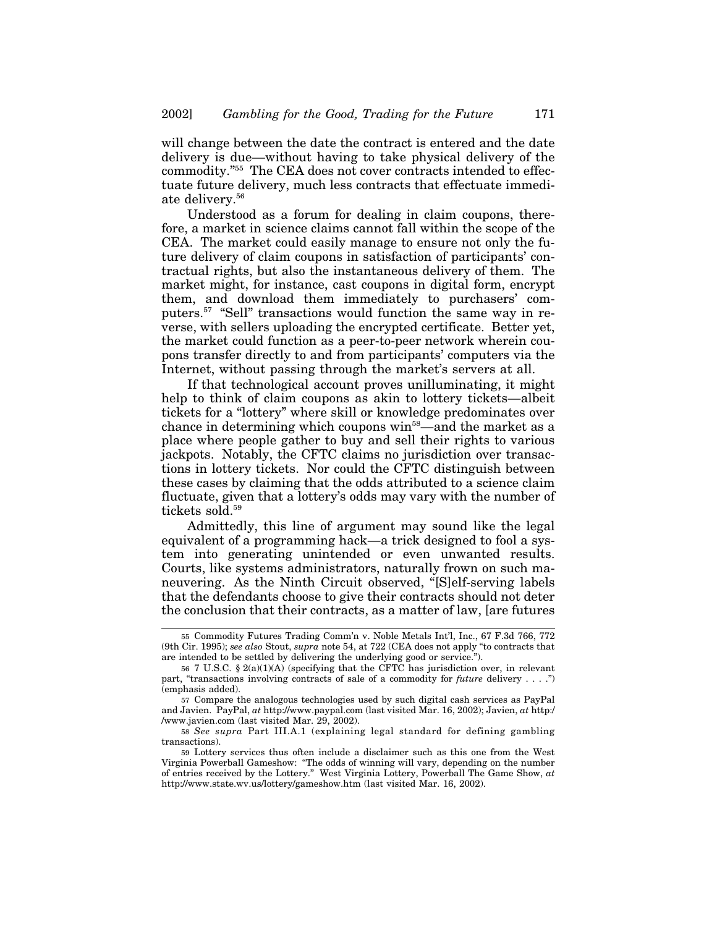will change between the date the contract is entered and the date delivery is due—without having to take physical delivery of the commodity."55 The CEA does not cover contracts intended to effectuate future delivery, much less contracts that effectuate immediate delivery.<sup>56</sup>

Understood as a forum for dealing in claim coupons, therefore, a market in science claims cannot fall within the scope of the CEA. The market could easily manage to ensure not only the future delivery of claim coupons in satisfaction of participants' contractual rights, but also the instantaneous delivery of them. The market might, for instance, cast coupons in digital form, encrypt them, and download them immediately to purchasers' computers.57 "Sell" transactions would function the same way in reverse, with sellers uploading the encrypted certificate. Better yet, the market could function as a peer-to-peer network wherein coupons transfer directly to and from participants' computers via the Internet, without passing through the market's servers at all.

If that technological account proves unilluminating, it might help to think of claim coupons as akin to lottery tickets—albeit tickets for a "lottery" where skill or knowledge predominates over chance in determining which coupons win<sup>58</sup>—and the market as a place where people gather to buy and sell their rights to various jackpots. Notably, the CFTC claims no jurisdiction over transactions in lottery tickets. Nor could the CFTC distinguish between these cases by claiming that the odds attributed to a science claim fluctuate, given that a lottery's odds may vary with the number of tickets sold.<sup>59</sup>

Admittedly, this line of argument may sound like the legal equivalent of a programming hack—a trick designed to fool a system into generating unintended or even unwanted results. Courts, like systems administrators, naturally frown on such maneuvering. As the Ninth Circuit observed, "[S]elf-serving labels that the defendants choose to give their contracts should not deter the conclusion that their contracts, as a matter of law, [are futures

<sup>55</sup> Commodity Futures Trading Comm'n v. Noble Metals Int'l, Inc., 67 F.3d 766, 772 (9th Cir. 1995); *see also* Stout, *supra* note 54, at 722 (CEA does not apply "to contracts that are intended to be settled by delivering the underlying good or service.").

<sup>56</sup> 7 U.S.C. § 2(a)(1)(A) (specifying that the CFTC has jurisdiction over, in relevant part, "transactions involving contracts of sale of a commodity for *future* delivery . . . .") (emphasis added).

<sup>57</sup> Compare the analogous technologies used by such digital cash services as PayPal and Javien. PayPal, *at* http://www.paypal.com (last visited Mar. 16, 2002); Javien, *at* http:/ /www.javien.com (last visited Mar. 29, 2002).

<sup>58</sup> *See supra* Part III.A.1 (explaining legal standard for defining gambling transactions).

<sup>59</sup> Lottery services thus often include a disclaimer such as this one from the West Virginia Powerball Gameshow: "The odds of winning will vary, depending on the number of entries received by the Lottery." West Virginia Lottery, Powerball The Game Show, *at* http://www.state.wv.us/lottery/gameshow.htm (last visited Mar. 16, 2002).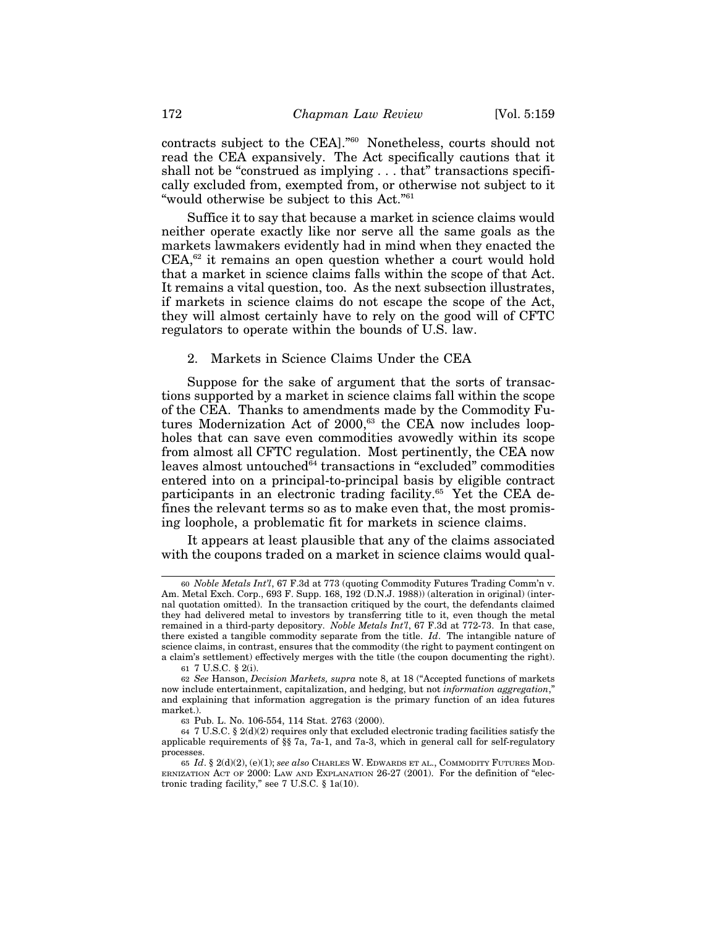contracts subject to the CEA]."60 Nonetheless, courts should not read the CEA expansively. The Act specifically cautions that it shall not be "construed as implying . . . that" transactions specifically excluded from, exempted from, or otherwise not subject to it "would otherwise be subject to this Act."61

Suffice it to say that because a market in science claims would neither operate exactly like nor serve all the same goals as the markets lawmakers evidently had in mind when they enacted the CEA,<sup>62</sup> it remains an open question whether a court would hold that a market in science claims falls within the scope of that Act. It remains a vital question, too. As the next subsection illustrates, if markets in science claims do not escape the scope of the Act, they will almost certainly have to rely on the good will of CFTC regulators to operate within the bounds of U.S. law.

#### 2. Markets in Science Claims Under the CEA

Suppose for the sake of argument that the sorts of transactions supported by a market in science claims fall within the scope of the CEA. Thanks to amendments made by the Commodity Futures Modernization Act of 2000,<sup>63</sup> the CEA now includes loopholes that can save even commodities avowedly within its scope from almost all CFTC regulation. Most pertinently, the CEA now leaves almost untouched<sup>64</sup> transactions in "excluded" commodities entered into on a principal-to-principal basis by eligible contract participants in an electronic trading facility.<sup>65</sup> Yet the CEA defines the relevant terms so as to make even that, the most promising loophole, a problematic fit for markets in science claims.

It appears at least plausible that any of the claims associated with the coupons traded on a market in science claims would qual-

<sup>60</sup> *Noble Metals Int'l*, 67 F.3d at 773 (quoting Commodity Futures Trading Comm'n v. Am. Metal Exch. Corp., 693 F. Supp. 168, 192 (D.N.J. 1988)) (alteration in original) (internal quotation omitted). In the transaction critiqued by the court, the defendants claimed they had delivered metal to investors by transferring title to it, even though the metal remained in a third-party depository. *Noble Metals Int'l*, 67 F.3d at 772-73. In that case, there existed a tangible commodity separate from the title. *Id*. The intangible nature of science claims, in contrast, ensures that the commodity (the right to payment contingent on a claim's settlement) effectively merges with the title (the coupon documenting the right).

<sup>61</sup> 7 U.S.C. § 2(i).

<sup>62</sup> *See* Hanson, *Decision Markets, supra* note 8, at 18 ("Accepted functions of markets now include entertainment, capitalization, and hedging, but not *information aggregation*," and explaining that information aggregation is the primary function of an idea futures market.).

<sup>63</sup> Pub. L. No. 106-554, 114 Stat. 2763 (2000).

<sup>64</sup> 7 U.S.C. § 2(d)(2) requires only that excluded electronic trading facilities satisfy the applicable requirements of §§ 7a, 7a-1, and 7a-3, which in general call for self-regulatory processes.

<sup>65</sup> *Id*. § 2(d)(2), (e)(1); *see also* CHARLES W. EDWARDS ET AL., COMMODITY FUTURES MOD-ERNIZATION ACT OF 2000: LAW AND EXPLANATION 26-27 (2001). For the definition of "electronic trading facility," see 7 U.S.C. § 1a(10).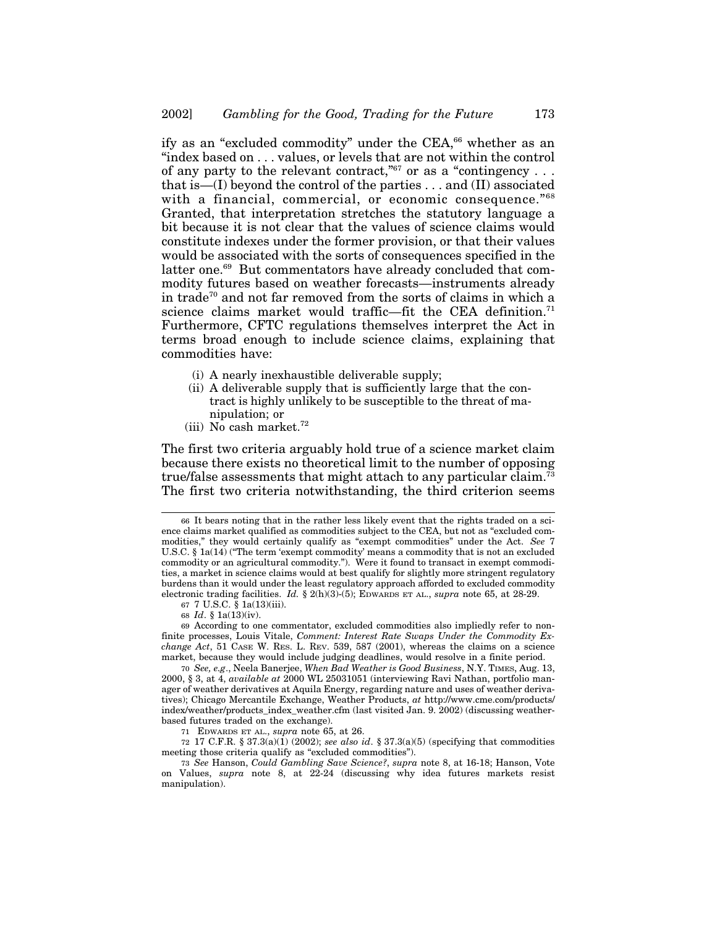ify as an "excluded commodity" under the CEA,<sup>66</sup> whether as an "index based on . . . values, or levels that are not within the control of any party to the relevant contract,  $\frac{1}{67}$  or as a "contingency... that is—(I) beyond the control of the parties . . . and (II) associated with a financial, commercial, or economic consequence."<sup>68</sup> Granted, that interpretation stretches the statutory language a bit because it is not clear that the values of science claims would constitute indexes under the former provision, or that their values would be associated with the sorts of consequences specified in the latter one.<sup>69</sup> But commentators have already concluded that commodity futures based on weather forecasts—instruments already in trade70 and not far removed from the sorts of claims in which a science claims market would traffic—fit the CEA definition.<sup>71</sup> Furthermore, CFTC regulations themselves interpret the Act in terms broad enough to include science claims, explaining that commodities have:

- (i) A nearly inexhaustible deliverable supply;
- (ii) A deliverable supply that is sufficiently large that the contract is highly unlikely to be susceptible to the threat of manipulation; or
- (iii) No cash market. $72$

The first two criteria arguably hold true of a science market claim because there exists no theoretical limit to the number of opposing true/false assessments that might attach to any particular claim.<sup> $\bar{i}$ 3</sup> The first two criteria notwithstanding, the third criterion seems

67 7 U.S.C. § 1a(13)(iii).

<sup>66</sup> It bears noting that in the rather less likely event that the rights traded on a science claims market qualified as commodities subject to the CEA, but not as "excluded commodities," they would certainly qualify as "exempt commodities" under the Act. *See* 7 U.S.C. § 1a(14) ("The term 'exempt commodity' means a commodity that is not an excluded commodity or an agricultural commodity."). Were it found to transact in exempt commodities, a market in science claims would at best qualify for slightly more stringent regulatory burdens than it would under the least regulatory approach afforded to excluded commodity electronic trading facilities. *Id.* § 2(h)(3)-(5); EDWARDS ET AL., *supra* note 65, at 28-29.

<sup>68</sup> *Id*. § 1a(13)(iv).

<sup>69</sup> According to one commentator, excluded commodities also impliedly refer to nonfinite processes, Louis Vitale, *Comment: Interest Rate Swaps Under the Commodity Exchange Act*, 51 CASE W. RES. L. REV. 539, 587 (2001), whereas the claims on a science market, because they would include judging deadlines, would resolve in a finite period.

<sup>70</sup> *See, e.g*., Neela Banerjee, *When Bad Weather is Good Business*, N.Y. TIMES, Aug. 13, 2000, § 3, at 4, *available at* 2000 WL 25031051 (interviewing Ravi Nathan, portfolio manager of weather derivatives at Aquila Energy, regarding nature and uses of weather derivatives); Chicago Mercantile Exchange, Weather Products, *at* http://www.cme.com/products/ index/weather/products\_index\_weather.cfm (last visited Jan. 9. 2002) (discussing weatherbased futures traded on the exchange).

<sup>71</sup> EDWARDS ET AL., *supra* note 65, at 26.

<sup>72</sup> 17 C.F.R. § 37.3(a)(1) (2002); *see also id*. § 37.3(a)(5) (specifying that commodities meeting those criteria qualify as "excluded commodities").

<sup>73</sup> *See* Hanson, *Could Gambling Save Science?*, *supra* note 8, at 16-18; Hanson, Vote on Values, *supra* note 8, at 22-24 (discussing why idea futures markets resist manipulation).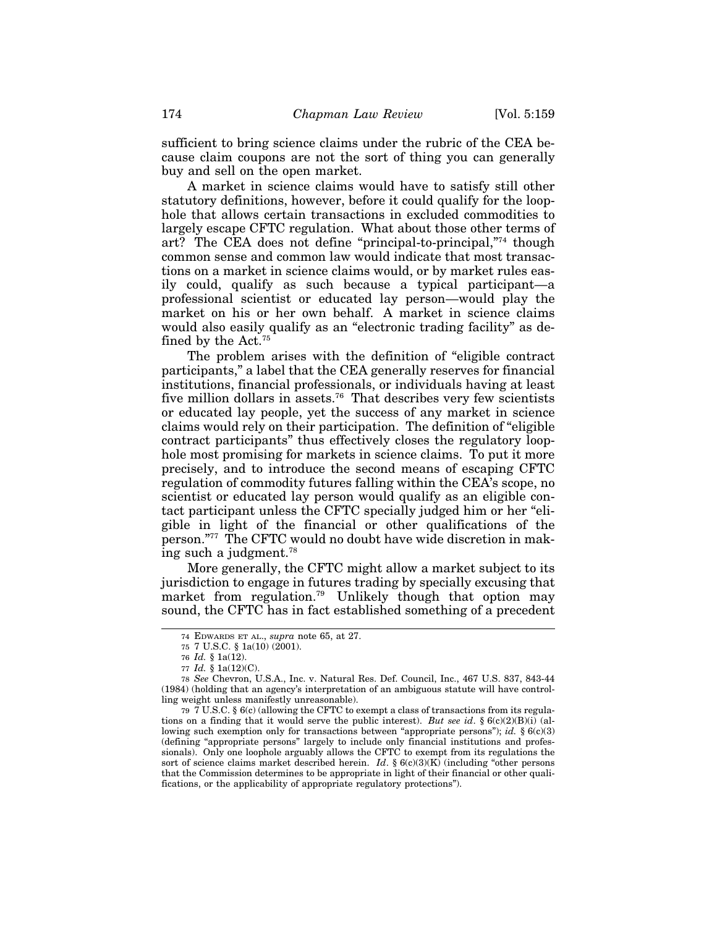sufficient to bring science claims under the rubric of the CEA because claim coupons are not the sort of thing you can generally buy and sell on the open market.

A market in science claims would have to satisfy still other statutory definitions, however, before it could qualify for the loophole that allows certain transactions in excluded commodities to largely escape CFTC regulation. What about those other terms of art? The CEA does not define "principal-to-principal,"74 though common sense and common law would indicate that most transactions on a market in science claims would, or by market rules easily could, qualify as such because a typical participant—a professional scientist or educated lay person—would play the market on his or her own behalf. A market in science claims would also easily qualify as an "electronic trading facility" as defined by the Act.75

The problem arises with the definition of "eligible contract participants," a label that the CEA generally reserves for financial institutions, financial professionals, or individuals having at least five million dollars in assets.<sup>76</sup> That describes very few scientists or educated lay people, yet the success of any market in science claims would rely on their participation. The definition of "eligible contract participants" thus effectively closes the regulatory loophole most promising for markets in science claims. To put it more precisely, and to introduce the second means of escaping CFTC regulation of commodity futures falling within the CEA's scope, no scientist or educated lay person would qualify as an eligible contact participant unless the CFTC specially judged him or her "eligible in light of the financial or other qualifications of the person."77 The CFTC would no doubt have wide discretion in making such a judgment.<sup>78</sup>

More generally, the CFTC might allow a market subject to its jurisdiction to engage in futures trading by specially excusing that market from regulation.<sup>79</sup> Unlikely though that option may sound, the CFTC has in fact established something of a precedent

79 7 U.S.C. § 6(c) (allowing the CFTC to exempt a class of transactions from its regulations on a finding that it would serve the public interest). *But see id*. § 6(c)(2)(B)(i) (allowing such exemption only for transactions between "appropriate persons"); *id.* § 6(c)(3) (defining "appropriate persons" largely to include only financial institutions and professionals). Only one loophole arguably allows the CFTC to exempt from its regulations the sort of science claims market described herein. *Id*. § 6(c)(3)(K) (including "other persons that the Commission determines to be appropriate in light of their financial or other qualifications, or the applicability of appropriate regulatory protections").

<sup>74</sup> EDWARDS ET AL., *supra* note 65, at 27.

<sup>75</sup> 7 U.S.C. § 1a(10) (2001).

<sup>76</sup> *Id.* § 1a(12).

<sup>77</sup> *Id.* § 1a(12)(C).

<sup>78</sup> *See* Chevron, U.S.A., Inc. v. Natural Res. Def. Council, Inc., 467 U.S. 837, 843-44 (1984) (holding that an agency's interpretation of an ambiguous statute will have controlling weight unless manifestly unreasonable).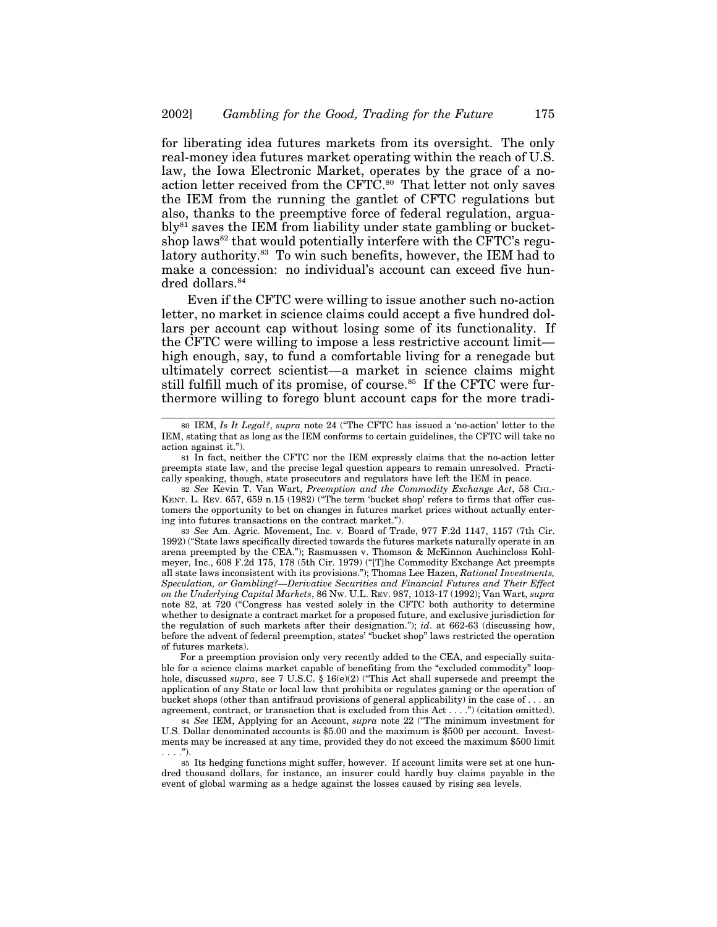for liberating idea futures markets from its oversight. The only real-money idea futures market operating within the reach of U.S. law, the Iowa Electronic Market, operates by the grace of a noaction letter received from the CFTC.<sup>80</sup> That letter not only saves the IEM from the running the gantlet of CFTC regulations but also, thanks to the preemptive force of federal regulation, argua $b\vert v^{81}$  saves the IEM from liability under state gambling or bucketshop laws<sup>82</sup> that would potentially interfere with the CFTC's regulatory authority.<sup>83</sup> To win such benefits, however, the IEM had to make a concession: no individual's account can exceed five hundred dollars.<sup>84</sup>

Even if the CFTC were willing to issue another such no-action letter, no market in science claims could accept a five hundred dollars per account cap without losing some of its functionality. If the CFTC were willing to impose a less restrictive account limit high enough, say, to fund a comfortable living for a renegade but ultimately correct scientist—a market in science claims might still fulfill much of its promise, of course.<sup>85</sup> If the CFTC were furthermore willing to forego blunt account caps for the more tradi-

83 *See* Am. Agric. Movement, Inc. v. Board of Trade, 977 F.2d 1147, 1157 (7th Cir. 1992) ("State laws specifically directed towards the futures markets naturally operate in an arena preempted by the CEA."); Rasmussen v. Thomson & McKinnon Auchincloss Kohlmeyer, Inc., 608 F.2d 175, 178 (5th Cir. 1979) ("[T]he Commodity Exchange Act preempts all state laws inconsistent with its provisions."); Thomas Lee Hazen, *Rational Investments, Speculation, or Gambling?—Derivative Securities and Financial Futures and Their Effect on the Underlying Capital Markets*, 86 NW. U.L. REV. 987, 1013-17 (1992); Van Wart, *supra* note 82, at 720 ("Congress has vested solely in the CFTC both authority to determine whether to designate a contract market for a proposed future, and exclusive jurisdiction for the regulation of such markets after their designation."); *id*. at 662-63 (discussing how, before the advent of federal preemption, states' "bucket shop" laws restricted the operation of futures markets).

For a preemption provision only very recently added to the CEA, and especially suitable for a science claims market capable of benefiting from the "excluded commodity" loophole, discussed *supra*, see 7 U.S.C. § 16(e)(2) ("This Act shall supersede and preempt the application of any State or local law that prohibits or regulates gaming or the operation of bucket shops (other than antifraud provisions of general applicability) in the case of . . . an agreement, contract, or transaction that is excluded from this Act . . . .") (citation omitted).

84 *See* IEM, Applying for an Account, *supra* note 22 ("The minimum investment for U.S. Dollar denominated accounts is \$5.00 and the maximum is \$500 per account. Investments may be increased at any time, provided they do not exceed the maximum \$500 limit  $\ldots$ .").

85 Its hedging functions might suffer, however. If account limits were set at one hundred thousand dollars, for instance, an insurer could hardly buy claims payable in the event of global warming as a hedge against the losses caused by rising sea levels.

<sup>80</sup> IEM, *Is It Legal?*, *supra* note 24 ("The CFTC has issued a 'no-action' letter to the IEM, stating that as long as the IEM conforms to certain guidelines, the CFTC will take no action against it.").

<sup>81</sup> In fact, neither the CFTC nor the IEM expressly claims that the no-action letter preempts state law, and the precise legal question appears to remain unresolved. Practically speaking, though, state prosecutors and regulators have left the IEM in peace.

<sup>82</sup> *See* Kevin T. Van Wart, *Preemption and the Commodity Exchange Act*, 58 CHI.- KENT. L. REV. 657, 659 n.15 (1982) ("The term 'bucket shop' refers to firms that offer customers the opportunity to bet on changes in futures market prices without actually entering into futures transactions on the contract market.").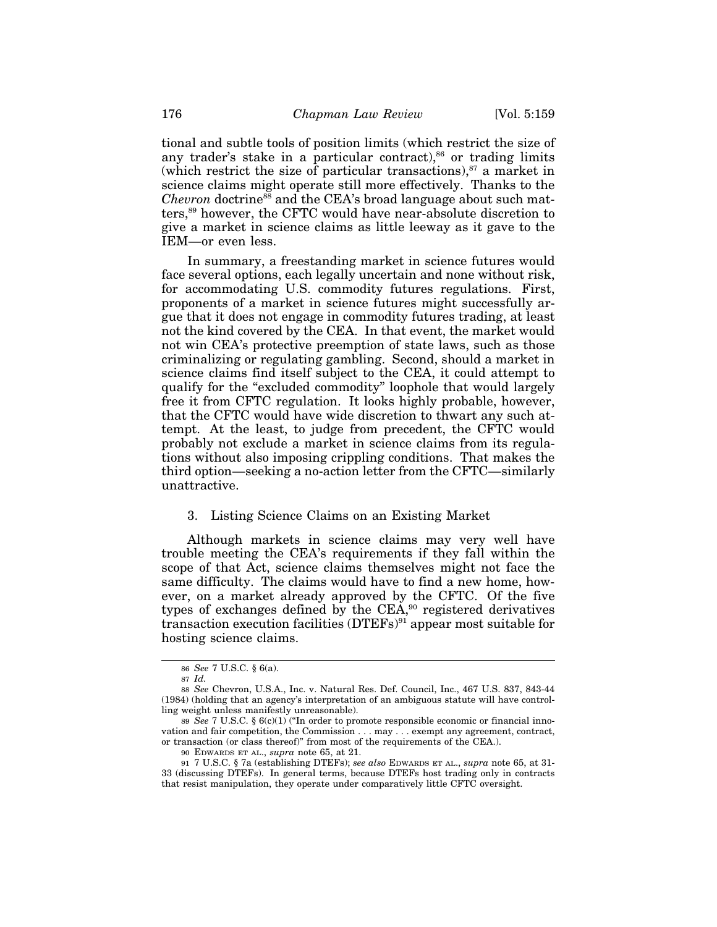tional and subtle tools of position limits (which restrict the size of any trader's stake in a particular contract), $86$  or trading limits (which restrict the size of particular transactions), $87$  a market in science claims might operate still more effectively. Thanks to the *Chevron* doctrine<sup>88</sup> and the CEA's broad language about such matters,89 however, the CFTC would have near-absolute discretion to give a market in science claims as little leeway as it gave to the IEM—or even less.

In summary, a freestanding market in science futures would face several options, each legally uncertain and none without risk, for accommodating U.S. commodity futures regulations. First, proponents of a market in science futures might successfully argue that it does not engage in commodity futures trading, at least not the kind covered by the CEA. In that event, the market would not win CEA's protective preemption of state laws, such as those criminalizing or regulating gambling. Second, should a market in science claims find itself subject to the CEA, it could attempt to qualify for the "excluded commodity" loophole that would largely free it from CFTC regulation. It looks highly probable, however, that the CFTC would have wide discretion to thwart any such attempt. At the least, to judge from precedent, the CFTC would probably not exclude a market in science claims from its regulations without also imposing crippling conditions. That makes the third option—seeking a no-action letter from the CFTC—similarly unattractive.

#### 3. Listing Science Claims on an Existing Market

Although markets in science claims may very well have trouble meeting the CEA's requirements if they fall within the scope of that Act, science claims themselves might not face the same difficulty. The claims would have to find a new home, however, on a market already approved by the CFTC. Of the five types of exchanges defined by the CEA,<sup>90</sup> registered derivatives transaction execution facilities (DTEFs)91 appear most suitable for hosting science claims.

<sup>86</sup> *See* 7 U.S.C. § 6(a).

<sup>87</sup> *Id.*

<sup>88</sup> *See* Chevron, U.S.A., Inc. v. Natural Res. Def. Council, Inc., 467 U.S. 837, 843-44 (1984) (holding that an agency's interpretation of an ambiguous statute will have controlling weight unless manifestly unreasonable).

<sup>89</sup> *See* 7 U.S.C. § 6(c)(1) ("In order to promote responsible economic or financial innovation and fair competition, the Commission . . . may . . . exempt any agreement, contract, or transaction (or class thereof)" from most of the requirements of the CEA.).

<sup>90</sup> EDWARDS ET AL., *supra* note 65, at 21.

<sup>91</sup> 7 U.S.C. § 7a (establishing DTEFs); *see also* EDWARDS ET AL., *supra* note 65, at 31- 33 (discussing DTEFs). In general terms, because DTEFs host trading only in contracts that resist manipulation, they operate under comparatively little CFTC oversight.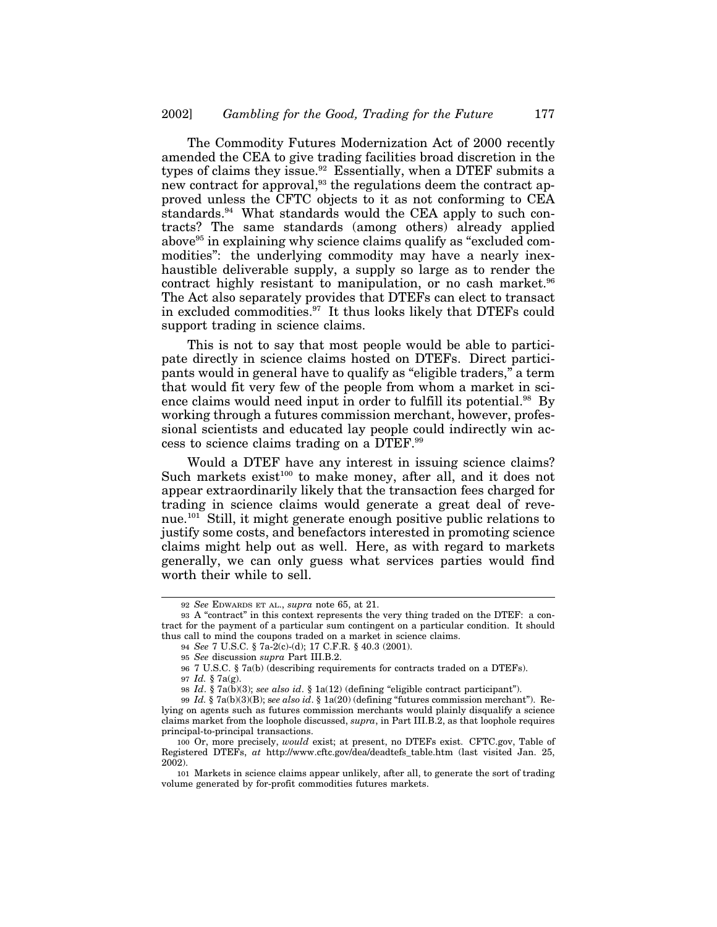The Commodity Futures Modernization Act of 2000 recently amended the CEA to give trading facilities broad discretion in the types of claims they issue.<sup>92</sup> Essentially, when a DTEF submits a new contract for approval,<sup>93</sup> the regulations deem the contract approved unless the CFTC objects to it as not conforming to CEA standards.94 What standards would the CEA apply to such contracts? The same standards (among others) already applied above<sup>95</sup> in explaining why science claims qualify as "excluded commodities": the underlying commodity may have a nearly inexhaustible deliverable supply, a supply so large as to render the contract highly resistant to manipulation, or no cash market.<sup>96</sup> The Act also separately provides that DTEFs can elect to transact in excluded commodities.97 It thus looks likely that DTEFs could support trading in science claims.

This is not to say that most people would be able to participate directly in science claims hosted on DTEFs. Direct participants would in general have to qualify as "eligible traders," a term that would fit very few of the people from whom a market in science claims would need input in order to fulfill its potential.<sup>98</sup> By working through a futures commission merchant, however, professional scientists and educated lay people could indirectly win access to science claims trading on a DTEF.99

Would a DTEF have any interest in issuing science claims? Such markets exist<sup>100</sup> to make money, after all, and it does not appear extraordinarily likely that the transaction fees charged for trading in science claims would generate a great deal of revenue.101 Still, it might generate enough positive public relations to justify some costs, and benefactors interested in promoting science claims might help out as well. Here, as with regard to markets generally, we can only guess what services parties would find worth their while to sell.

<sup>92</sup> *See* EDWARDS ET AL., *supra* note 65, at 21.

<sup>93</sup> A "contract" in this context represents the very thing traded on the DTEF: a contract for the payment of a particular sum contingent on a particular condition. It should thus call to mind the coupons traded on a market in science claims.

<sup>94</sup> *See* 7 U.S.C. § 7a-2(c)-(d); 17 C.F.R. § 40.3 (2001).

<sup>95</sup> *See* discussion *supra* Part III.B.2.

<sup>96</sup> 7 U.S.C. § 7a(b) (describing requirements for contracts traded on a DTEFs).

<sup>97</sup> *Id.* § 7a(g).

<sup>98</sup> *Id*. § 7a(b)(3); *see also id*. § 1a(12) (defining "eligible contract participant").

<sup>99</sup> *Id.* § 7a(b)(3)(B); s*ee also id*. § 1a(20) (defining "futures commission merchant"). Relying on agents such as futures commission merchants would plainly disqualify a science claims market from the loophole discussed, *supra*, in Part III.B.2, as that loophole requires principal-to-principal transactions.

<sup>100</sup> Or, more precisely, *would* exist; at present, no DTEFs exist. CFTC.gov, Table of Registered DTEFs, *at* http://www.cftc.gov/dea/deadtefs\_table.htm (last visited Jan. 25, 2002).

<sup>101</sup> Markets in science claims appear unlikely, after all, to generate the sort of trading volume generated by for-profit commodities futures markets.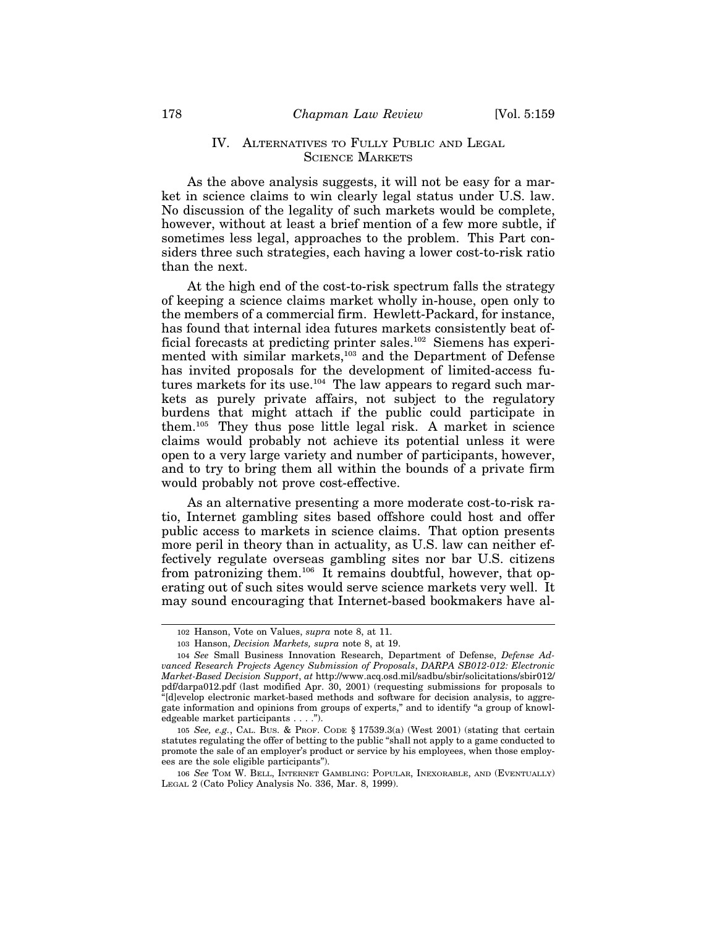#### IV. ALTERNATIVES TO FULLY PUBLIC AND LEGAL SCIENCE MARKETS

As the above analysis suggests, it will not be easy for a market in science claims to win clearly legal status under U.S. law. No discussion of the legality of such markets would be complete, however, without at least a brief mention of a few more subtle, if sometimes less legal, approaches to the problem. This Part considers three such strategies, each having a lower cost-to-risk ratio than the next.

At the high end of the cost-to-risk spectrum falls the strategy of keeping a science claims market wholly in-house, open only to the members of a commercial firm. Hewlett-Packard, for instance, has found that internal idea futures markets consistently beat official forecasts at predicting printer sales.<sup>102</sup> Siemens has experimented with similar markets,<sup>103</sup> and the Department of Defense has invited proposals for the development of limited-access futures markets for its use.<sup>104</sup> The law appears to regard such markets as purely private affairs, not subject to the regulatory burdens that might attach if the public could participate in them.105 They thus pose little legal risk. A market in science claims would probably not achieve its potential unless it were open to a very large variety and number of participants, however, and to try to bring them all within the bounds of a private firm would probably not prove cost-effective.

As an alternative presenting a more moderate cost-to-risk ratio, Internet gambling sites based offshore could host and offer public access to markets in science claims. That option presents more peril in theory than in actuality, as U.S. law can neither effectively regulate overseas gambling sites nor bar U.S. citizens from patronizing them.<sup>106</sup> It remains doubtful, however, that operating out of such sites would serve science markets very well. It may sound encouraging that Internet-based bookmakers have al-

<sup>102</sup> Hanson, Vote on Values, *supra* note 8, at 11.

<sup>103</sup> Hanson, *Decision Markets, supra* note 8, at 19.

<sup>104</sup> *See* Small Business Innovation Research, Department of Defense, *Defense Advanced Research Projects Agency Submission of Proposals*, *DARPA SB012-012: Electronic Market-Based Decision Support*, *at* http://www.acq.osd.mil/sadbu/sbir/solicitations/sbir012/ pdf/darpa012.pdf (last modified Apr. 30, 2001) (requesting submissions for proposals to "[d]evelop electronic market-based methods and software for decision analysis, to aggregate information and opinions from groups of experts," and to identify "a group of knowledgeable market participants . . . .").

<sup>105</sup> *See, e.g.*, CAL. BUS. & PROF. CODE § 17539.3(a) (West 2001) (stating that certain statutes regulating the offer of betting to the public "shall not apply to a game conducted to promote the sale of an employer's product or service by his employees, when those employees are the sole eligible participants").

<sup>106</sup> *See* TOM W. BELL, INTERNET GAMBLING: POPULAR, INEXORABLE, AND (EVENTUALLY) LEGAL 2 (Cato Policy Analysis No. 336, Mar. 8, 1999).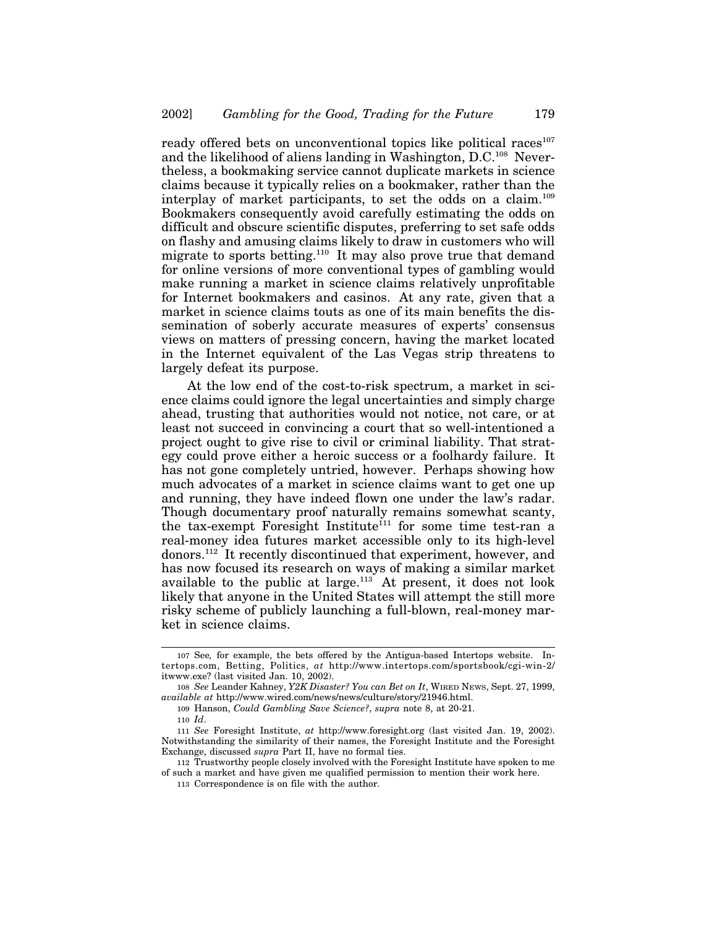ready offered bets on unconventional topics like political races $107$ and the likelihood of aliens landing in Washington, D.C.<sup>108</sup> Nevertheless, a bookmaking service cannot duplicate markets in science claims because it typically relies on a bookmaker, rather than the interplay of market participants, to set the odds on a claim.109 Bookmakers consequently avoid carefully estimating the odds on difficult and obscure scientific disputes, preferring to set safe odds on flashy and amusing claims likely to draw in customers who will migrate to sports betting.<sup>110</sup> It may also prove true that demand for online versions of more conventional types of gambling would make running a market in science claims relatively unprofitable for Internet bookmakers and casinos. At any rate, given that a market in science claims touts as one of its main benefits the dissemination of soberly accurate measures of experts' consensus views on matters of pressing concern, having the market located in the Internet equivalent of the Las Vegas strip threatens to largely defeat its purpose.

At the low end of the cost-to-risk spectrum, a market in science claims could ignore the legal uncertainties and simply charge ahead, trusting that authorities would not notice, not care, or at least not succeed in convincing a court that so well-intentioned a project ought to give rise to civil or criminal liability. That strategy could prove either a heroic success or a foolhardy failure. It has not gone completely untried, however. Perhaps showing how much advocates of a market in science claims want to get one up and running, they have indeed flown one under the law's radar. Though documentary proof naturally remains somewhat scanty, the tax-exempt Foresight Institute<sup>111</sup> for some time test-ran a real-money idea futures market accessible only to its high-level donors.112 It recently discontinued that experiment, however, and has now focused its research on ways of making a similar market available to the public at large. $113$  At present, it does not look likely that anyone in the United States will attempt the still more risky scheme of publicly launching a full-blown, real-money market in science claims.

<sup>107</sup> See*,* for example, the bets offered by the Antigua-based Intertops website. Intertops.com, Betting, Politics, *at* http://www.intertops.com/sportsbook/cgi-win-2/ itwww.exe? (last visited Jan. 10, 2002).

<sup>108</sup> *See* Leander Kahney, *Y2K Disaster? You can Bet on It*, WIRED NEWS, Sept. 27, 1999, *available at* http://www.wired.com/news/news/culture/story/21946.html.

<sup>109</sup> Hanson, *Could Gambling Save Science?*, *supra* note 8, at 20-21.

<sup>110</sup> *Id*.

<sup>111</sup> *See* Foresight Institute, *at* http://www.foresight.org (last visited Jan. 19, 2002). Notwithstanding the similarity of their names, the Foresight Institute and the Foresight Exchange, discussed *supra* Part II, have no formal ties.

<sup>112</sup> Trustworthy people closely involved with the Foresight Institute have spoken to me of such a market and have given me qualified permission to mention their work here.

<sup>113</sup> Correspondence is on file with the author.